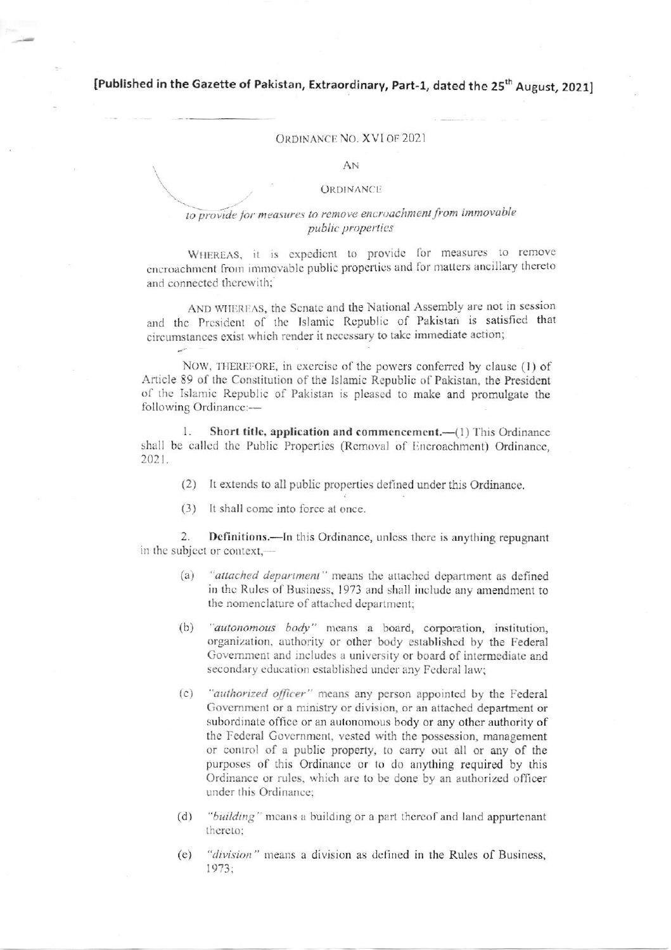[Published in the Gazette of Pakistan, Extraordinary, Part-1, dated the 25<sup>th</sup> August, 2021]

## ORDINANCE NO. XVI OF 2021

AN

## **ORDINANCE**

## to provide for measures to remove encroachment from immovable public properties

WHEREAS, it is expedient to provide for measures to remove encroachment from immovable public properties and for matters ancillary thereto and connected therewith:

AND WHEREAS, the Senate and the National Assembly are not in session and the President of the Islamic Republic of Pakistan is satisfied that circumstances exist which render it necessary to take immediate action;

NOW, THEREFORE, in exercise of the powers conferred by clause (1) of Article 89 of the Constitution of the Islamic Republic of Pakistan, the President of the Islamic Republic of Pakistan is pleased to make and promulgate the following Ordinance:-

Short title, application and commencement.—(1) This Ordinance  $\mathbf{1}$ shall be called the Public Properties (Removal of Encroachment) Ordinance, 2021.

- (2) It extends to all public properties defined under this Ordinance.
- (3) It shall come into force at once.

2. Definitions.—In this Ordinance, unless there is anything repugnant in the subject or context,-

- "attached department" means the attached department as defined  $(a)$ in the Rules of Business, 1973 and shall include any amendment to the nomenclature of attached department;
- "autonomous body" means a board, corporation, institution,  $(b)$ organization, authority or other body established by the Federal Government and includes a university or board of intermediate and secondary education established under any Federal law;
- "authorized officer" means any person appointed by the Federal  $(c)$ Government or a ministry or division, or an attached department or subordinate office or an autonomous body or any other authority of the Federal Government, vested with the possession, management or control of a public property, to carry out all or any of the purposes of this Ordinance or to do anything required by this Ordinance or rules, which are to be done by an authorized officer under this Ordinance:
- "building" means a building or a part thereof and land appurtenant  $(d)$ thereto:
- "division" means a division as defined in the Rules of Business,  $(e)$ 1973: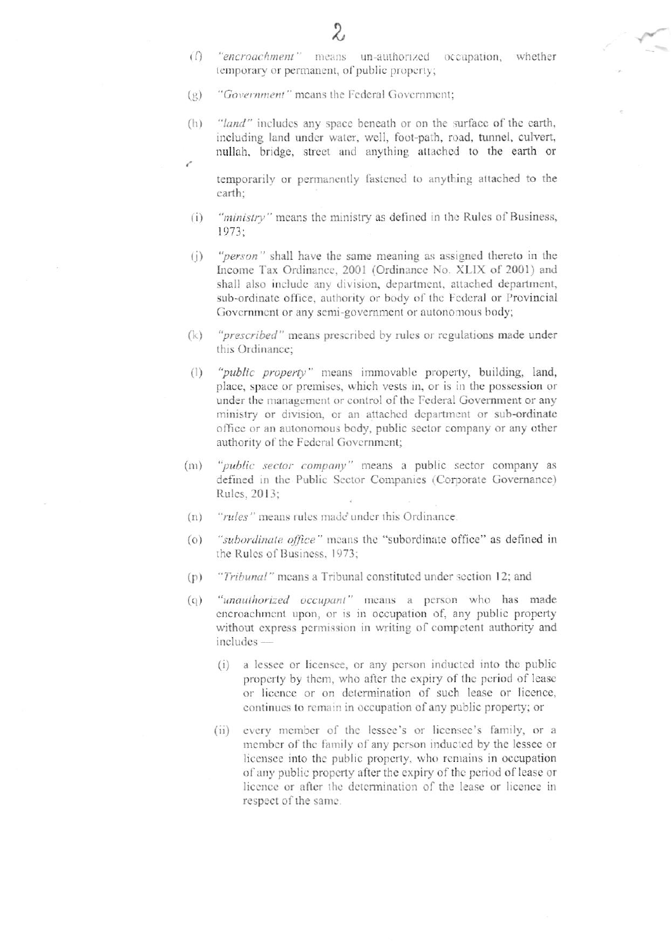- "encroachment" means un-authorized occupation, whether  $\bigcap$ temporary or permanent, of public property;
- "Government" means the Federal Government;  $(g)$
- "land" includes any space beneath or on the surface of the earth,  $(\vert_1)$ including land under water, well, foot-path, road, tunnel, culvert, nullah, bridge, street and anything attached to the earth or

temporarily or permanently fastened to anything attached to the earth:

- "ministry" means the ministry as defined in the Rules of Business,  $(i)$ 1973;
- "person" shall have the same meaning as assigned thereto in the  $(i)$ Income Tax Ordinance, 2001 (Ordinance No. XLIX of 2001) and shall also include any division, department, attached department, sub-ordinate office, authority or body of the Federal or Provincial Government or any semi-government or autonomous body;
- "prescribed" means prescribed by rules or regulations made under  $(k)$ this Ordinance:
- "public property" means immovable property, building, land,  $(1)$ place, space or premises, which vests in, or is in the possession or under the management or control of the Federal Government or any ministry or division, or an attached department or sub-ordinate office or an autonomous body, public sector company or any other authority of the Federal Government;
- "public sector company" means a public sector company as  $(m)$ defined in the Public Sector Companies (Corporate Governance) Rules, 2013:
- "rules" means rules made under this Ordinance.  $(n)$
- "subordinate office" means the "subordinate office" as defined in  $\circ$ the Rules of Business, 1973;
- "Tribunal" means a Tribunal constituted under section 12; and  $(p)$
- "unauthorized occupant" means a person who has made  $\left( 0\right)$ encroachment upon, or is in occupation of, any public property without express permission in writing of competent authority and includes -
	- (i) a lessee or licensee, or any person inducted into the public property by them, who after the expiry of the period of lease or licence or on determination of such lease or licence, continues to remain in occupation of any public property; or
	- (ii) every member of the lessee's or licensee's family, or a member of the family of any person inducted by the lessee or licensee into the public property, who remains in occupation of any public property after the expiry of the period of lease or licence or after the determination of the lease or licence in respect of the same.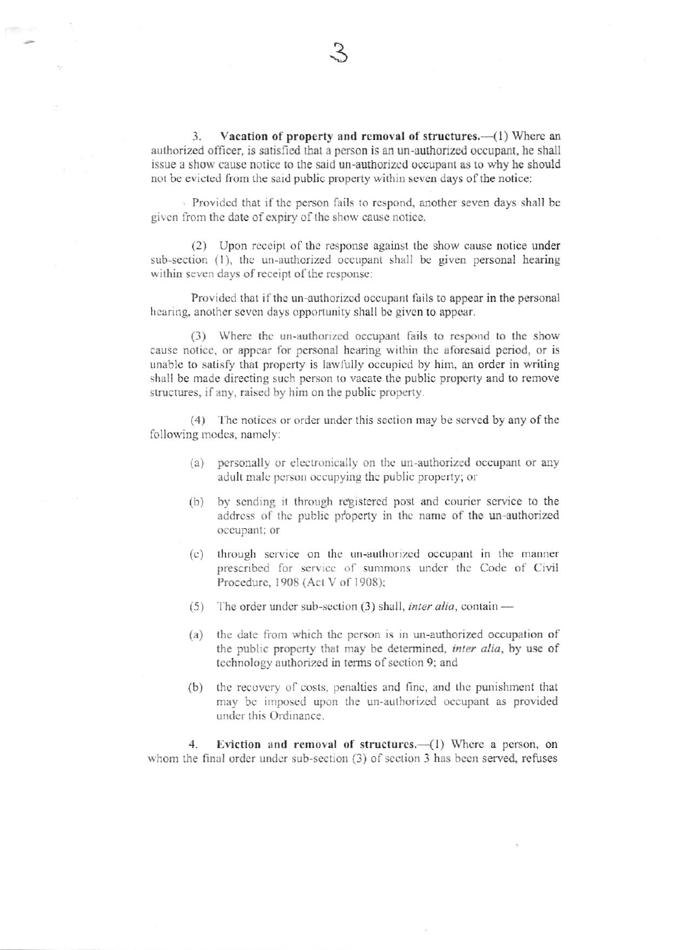Vacation of property and removal of structures.—(1) Where an 3. authorized officer, is satisfied that a person is an un-authorized occupant, he shall issue a show cause notice to the said un-authorized occupant as to why he should not be evicted from the said public property within seven days of the notice:

Provided that if the person fails to respond, another seven days shall be given from the date of expiry of the show cause notice.

(2) Upon receipt of the response against the show cause notice under sub-section (1), the un-authorized occupant shall be given personal hearing within seven days of receipt of the response:

Provided that if the un-authorized occupant fails to appear in the personal hearing, another seven days opportunity shall be given to appear.

(3) Where the un-authorized occupant fails to respond to the show cause notice, or appear for personal hearing within the aforesaid period, or is unable to satisfy that property is lawfully occupied by him, an order in writing shall be made directing such person to vacate the public property and to remove structures, if any, raised by him on the public property.

(4) The notices or order under this section may be served by any of the following modes, namely:

- (a) personally or electronically on the un-authorized occupant or any adult male person occupying the public property; or
- by sending it through registered post and courier service to the  $(b)$ address of the public property in the name of the un-authorized occupant; or
- through service on the un-authorized occupant in the manner  $(c)$ prescribed for service of summons under the Code of Civil Procedure, 1908 (Act V of 1908);
- (5) The order under sub-section (3) shall, *inter alia*, contain —
- $(a)$ the date from which the person is in un-authorized occupation of the public property that may be determined, inter alia, by use of technology authorized in terms of section 9; and
- (b) the recovery of costs, penalties and fine, and the punishment that may be imposed upon the un-authorized occupant as provided under this Ordinance.

Eviction and removal of structures.-(1) Where a person, on  $\overline{4}$ whom the final order under sub-section (3) of section 3 has been served, refuses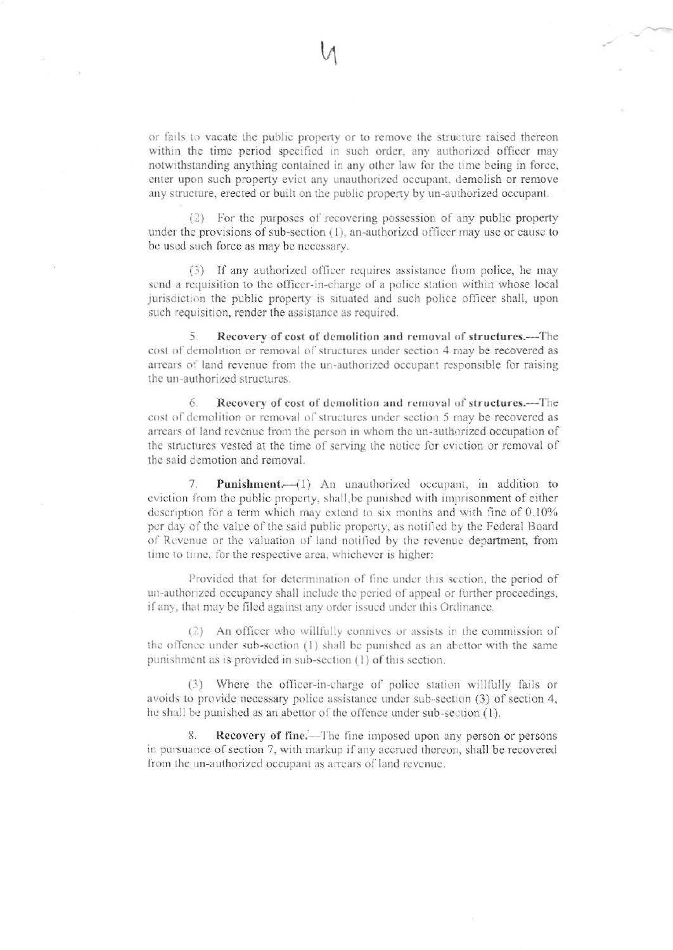or fails to vacate the public property or to remove the structure raised thereon within the time period specified in such order, any authorized officer may notwithstanding anything contained in any other law for the time being in force, enter upon such property evict any unauthorized occupant, demolish or remove any structure, erected or built on the public property by un-authorized occupant.

(2) For the purposes of recovering possession of any public property under the provisions of sub-section  $(1)$ , an-authorized officer may use or cause to be used such force as may be necessary.

(3) If any authorized officer requires assistance from police, he may send a requisition to the officer-in-charge of a police station within whose local jurisdiction the public property is situated and such police officer shall, upon such requisition, render the assistance as required.

Recovery of cost of demolition and removal of structures.—The 5. cost of demolition or removal of structures under section 4 may be recovered as arrears of land revenue from the un-authorized occupant responsible for raising the un-authorized structures.

6. Recovery of cost of demolition and removal of structures.--The cost of demolition or removal of structures under section 5 may be recovered as arrears of land revenue from the person in whom the un-authorized occupation of the structures vested at the time of serving the notice for eviction or removal of the said demotion and removal.

Punishment.-- (1) An unauthorized occupant, in addition to 7. eviction from the public property, shall be punished with imprisonment of either description for a term which may extend to six months and with fine of 0.10% per day of the value of the said public property, as notified by the Federal Board of Revenue or the valuation of land notified by the revenue department, from time to time, for the respective area, whichever is higher:

Provided that for determination of fine under this section, the period of un-authorized occupancy shall include the period of appeal or further proceedings, if any, that may be filed against any order issued under this Ordinance.

(2) An officer who willfully connives or assists in the commission of the offence under sub-section (1) shall be punished as an abettor with the same punishment as is provided in sub-section (1) of this section.

(3) Where the officer-in-charge of police station willfully fails or avoids to provide necessary police assistance under sub-section (3) of section 4, he shall be punished as an abettor of the offence under sub-section (1).

Recovery of fine.—The fine imposed upon any person or persons 8. in pursuance of section 7, with markup if any accrued thereon, shall be recovered from the un-authorized occupant as arrears of land revenue.